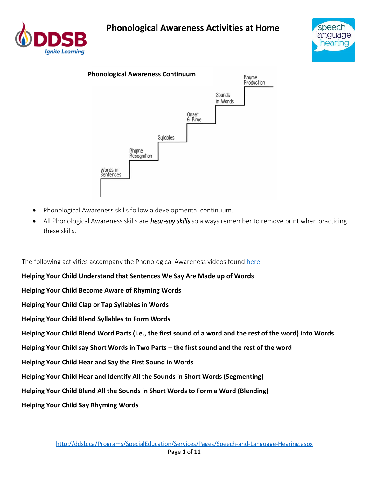





- Phonological Awareness skills follow a developmental continuum.
- All Phonological Awareness skills are *hear-say skills* so always remember to remove print when practicing these skills.

The following activities accompany the Phonological Awareness videos found [here.](https://www.youtube.com/playlist?list=PLX4zoFR8m8tDXLjDnKELTn4M9dNWGEcxf)

**Helping Your Child Understand that Sentences We Say Are Made up of Words Helping Your Child Become Aware of Rhyming Words Helping Your Child Clap or Tap Syllables in Words Helping Your Child Blend Syllables to Form Words Helping Your Child Blend Word Parts (i.e., the first sound of a word and the rest of the word) into Words Helping Your Child say Short Words in Two Parts – the first sound and the rest of the word Helping Your Child Hear and Say the First Sound in Words Helping Your Child Hear and Identify All the Sounds in Short Words (Segmenting) Helping Your Child Blend All the Sounds in Short Words to Form a Word (Blending) Helping Your Child Say Rhyming Words**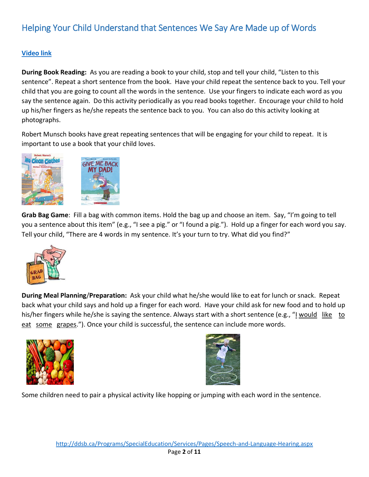# Helping Your Child Understand that Sentences We Say Are Made up of Words

### **[Video link](https://youtu.be/SJ0BiE_RWIo?list=PLX4zoFR8m8tDXLjDnKELTn4M9dNWGEcxf)**

**During Book Reading:** As you are reading a book to your child, stop and tell your child, "Listen to this sentence". Repeat a short sentence from the book. Have your child repeat the sentence back to you. Tell your child that you are going to count all the words in the sentence. Use your fingers to indicate each word as you say the sentence again. Do this activity periodically as you read books together. Encourage your child to hold up his/her fingers as he/she repeats the sentence back to you. You can also do this activity looking at photographs.

Robert Munsch books have great repeating sentences that will be engaging for your child to repeat. It is important to use a book that your child loves.



**Grab Bag Game**: Fill a bag with common items. Hold the bag up and choose an item. Say, "I'm going to tell you a sentence about this item" (e.g., "I see a pig." or "I found a pig."). Hold up a finger for each word you say. Tell your child, "There are 4 words in my sentence. It's your turn to try. What did you find?"



**During Meal Planning**/**Preparation:** Ask your child what he/she would like to eat for lunch or snack. Repeat back what your child says and hold up a finger for each word. Have your child ask for new food and to hold up his/her fingers while he/she is saying the sentence. Always start with a short sentence (e.g., "I would like to eat some grapes."). Once your child is successful, the sentence can include more words.





Some children need to pair a physical activity like hopping or jumping with each word in the sentence.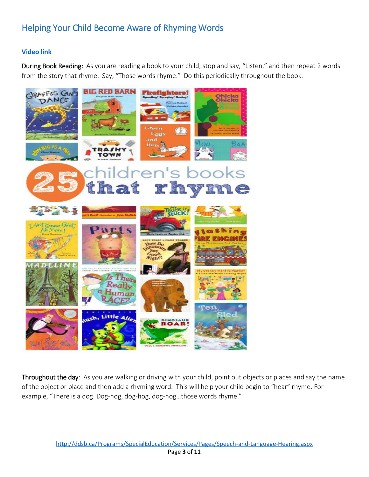## Helping Your Child Become Aware of Rhyming Words

### **[Video link](https://www.youtube.com/watch?v=l1Fct6awdLc&index=8&list=PLX4zoFR8m8tDXLjDnKELTn4M9dNWGEcxf)**

During Book Reading: As you are reading a book to your child, stop and say, "Listen," and then repeat 2 words from the story that rhyme. Say, "Those words rhyme." Do this periodically throughout the book.



Throughout the day: As you are walking or driving with your child, point out objects or places and say the name of the object or place and then add a rhyming word. This will help your child begin to "hear" rhyme. For example, "There is a dog. Dog-hog, dog-hog, dog-hog…those words rhyme."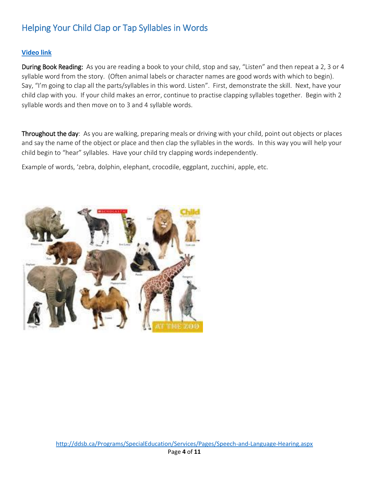## Helping Your Child Clap or Tap Syllables in Words

#### **[Video link](https://www.youtube.com/watch?v=5-Q_IPq2_5s&index=7&list=PLX4zoFR8m8tDXLjDnKELTn4M9dNWGEcxf)**

During Book Reading: As you are reading a book to your child, stop and say, "Listen" and then repeat a 2, 3 or 4 syllable word from the story. (Often animal labels or character names are good words with which to begin). Say, "I'm going to clap all the parts/syllables in this word. Listen". First, demonstrate the skill. Next, have your child clap with you. If your child makes an error, continue to practise clapping syllables together. Begin with 2 syllable words and then move on to 3 and 4 syllable words.

Throughout the day: As you are walking, preparing meals or driving with your child, point out objects or places and say the name of the object or place and then clap the syllables in the words. In this way you will help your child begin to "hear" syllables. Have your child try clapping words independently.

Example of words, 'zebra, dolphin, elephant, crocodile, eggplant, zucchini, apple, etc.

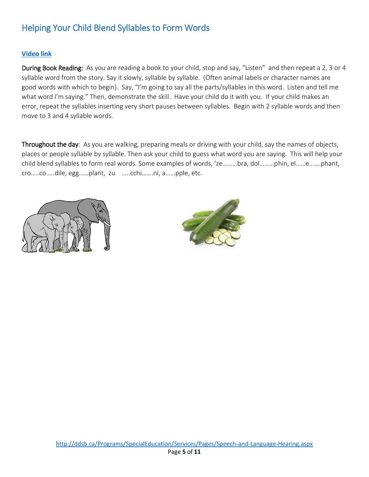### Helping Your Child Blend Syllables to Form Words

#### **[Video link](https://www.youtube.com/watch?v=G35aguUQzCo&list=PLX4zoFR8m8tDXLjDnKELTn4M9dNWGEcxf&index=6)**

During Book Reading: As you are reading a book to your child, stop and say, "Listen" and then repeat a 2, 3 or 4 syllable word from the story. Say it slowly, syllable by syllable. (Often animal labels or character names are good words with which to begin). Say, "I'm going to say all the parts/syllables in this word. Listen and tell me what word I'm saying." Then, demonstrate the skill. Have your child do it with you. If your child makes an error, repeat the syllables inserting very short pauses between syllables. Begin with 2 syllable words and then move to 3 and 4 syllable words.

Throughout the day: As you are walking, preparing meals or driving with your child, say the names of objects, places or people syllable by syllable. Then ask your child to guess what word you are saying. This will help your child blend syllables to form real words. Some examples of words, 'ze………bra, dol………phin, el……e…….phant, cro…..co…..dile, egg……plant, zu …..cchi…….ni, a……pple, etc.



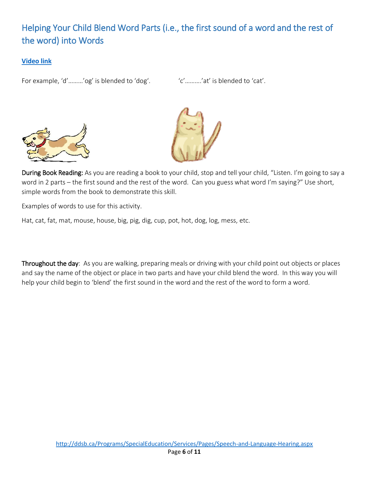# Helping Your Child Blend Word Parts (i.e., the first sound of a word and the rest of the word) into Words

### **[Video link](https://www.youtube.com/watch?v=AYNXs_4l4VA&index=5&list=PLX4zoFR8m8tDXLjDnKELTn4M9dNWGEcxf)**

For example, 'd'………'og' is blended to 'dog'. 'c'………'at' is blended to 'cat'.





During Book Reading: As you are reading a book to your child, stop and tell your child, "Listen. I'm going to say a word in 2 parts – the first sound and the rest of the word. Can you guess what word I'm saying?" Use short, simple words from the book to demonstrate this skill.

Examples of words to use for this activity.

Hat, cat, fat, mat, mouse, house, big, pig, dig, cup, pot, hot, dog, log, mess, etc.

Throughout the day: As you are walking, preparing meals or driving with your child point out objects or places and say the name of the object or place in two parts and have your child blend the word. In this way you will help your child begin to 'blend' the first sound in the word and the rest of the word to form a word.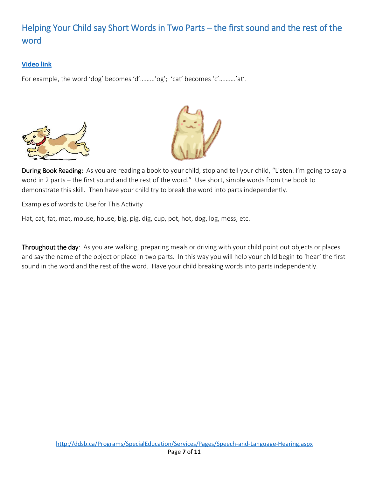# Helping Your Child say Short Words in Two Parts – the first sound and the rest of the word

### **[Video link](https://www.youtube.com/watch?v=IfLi0Ul_Teo&list=PLX4zoFR8m8tDXLjDnKELTn4M9dNWGEcxf&index=4)**

For example, the word 'dog' becomes 'd'………'og'; 'cat' becomes 'c'……….'at'.





During Book Reading: As you are reading a book to your child, stop and tell your child, "Listen. I'm going to say a word in 2 parts – the first sound and the rest of the word." Use short, simple words from the book to demonstrate this skill. Then have your child try to break the word into parts independently.

Examples of words to Use for This Activity

Hat, cat, fat, mat, mouse, house, big, pig, dig, cup, pot, hot, dog, log, mess, etc.

Throughout the day: As you are walking, preparing meals or driving with your child point out objects or places and say the name of the object or place in two parts. In this way you will help your child begin to 'hear' the first sound in the word and the rest of the word. Have your child breaking words into parts independently.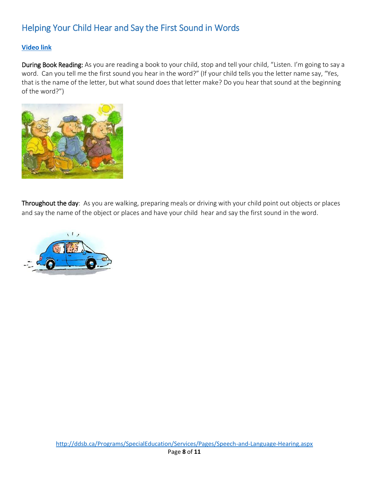## Helping Your Child Hear and Say the First Sound in Words

#### **[Video link](https://www.youtube.com/watch?v=wWQ-Opg0j4A&index=10&list=PLX4zoFR8m8tDXLjDnKELTn4M9dNWGEcxf)**

During Book Reading: As you are reading a book to your child, stop and tell your child, "Listen. I'm going to say a word. Can you tell me the first sound you hear in the word?" (If your child tells you the letter name say, "Yes, that is the name of the letter, but what sound does that letter make? Do you hear that sound at the beginning of the word?")



Throughout the day: As you are walking, preparing meals or driving with your child point out objects or places and say the name of the object or places and have your child hear and say the first sound in the word.

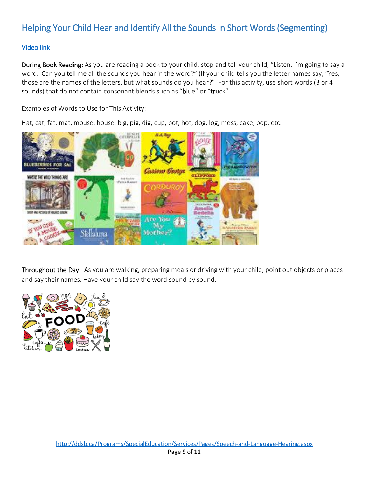# Helping Your Child Hear and Identify All the Sounds in Short Words (Segmenting)

### [Video link](https://www.youtube.com/watch?v=_q4VCMIWNjo&index=3&list=PLX4zoFR8m8tDXLjDnKELTn4M9dNWGEcxf)

During Book Reading: As you are reading a book to your child, stop and tell your child, "Listen. I'm going to say a word. Can you tell me all the sounds you hear in the word?" (If your child tells you the letter names say, "Yes, those are the names of the letters, but what sounds do you hear?" For this activity, use short words (3 or 4 sounds) that do not contain consonant blends such as "blue" or "truck".

Examples of Words to Use for This Activity:

Hat, cat, fat, mat, mouse, house, big, pig, dig, cup, pot, hot, dog, log, mess, cake, pop, etc.



Throughout the Day: As you are walking, preparing meals or driving with your child, point out objects or places and say their names. Have your child say the word sound by sound.

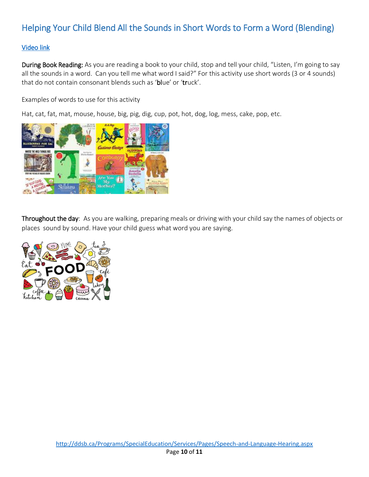# Helping Your Child Blend All the Sounds in Short Words to Form a Word (Blending)

### [Video link](https://www.youtube.com/watch?v=CDlMebTNFEQ&list=PLX4zoFR8m8tDXLjDnKELTn4M9dNWGEcxf&index=2)

During Book Reading: As you are reading a book to your child, stop and tell your child, "Listen, I'm going to say all the sounds in a word. Can you tell me what word I said?" For this activity use short words (3 or 4 sounds) that do not contain consonant blends such as 'blue' or 'truck'.

Examples of words to use for this activity

Hat, cat, fat, mat, mouse, house, big, pig, dig, cup, pot, hot, dog, log, mess, cake, pop, etc.



Throughout the day: As you are walking, preparing meals or driving with your child say the names of objects or places sound by sound. Have your child guess what word you are saying.